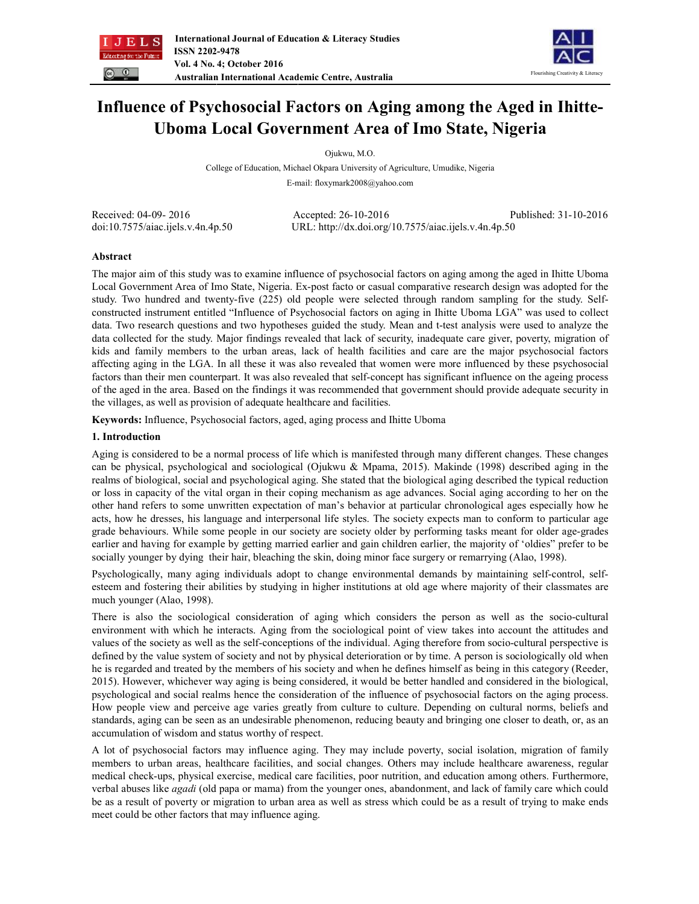



# **Influence of Psychosocial Factors on Aging among the Aged in Ihitte-Uboma Local Government Area of Imo State, Nigeria**

Ojukwu, M.O.

College of Education, Michael Okpara University of Agriculture, Umudike, Nigeria E-mail: floxymark2008@yahoo.com

Received: 04-09- 2016 Accepted: 26-10-2016 Published: 31-10-2016 doi:10.7575/aiac.ijels.v.4n.4p.50 URL: http://dx.doi.org/10.7575/aiac.ijels.v.4n.4p.50

# **Abstract**

The major aim of this study was to examine influence of psychosocial factors on aging among the aged in Ihitte Uboma Local Government Area of Imo State, Nigeria. Ex-post facto or casual comparative research design was adopted for the study. Two hundred and twenty-five (225) old people were selected through random sampling for the study. Selfconstructed instrument entitled "Influence of Psychosocial factors on aging in Ihitte Uboma LGA" was used to collect data. Two research questions and two hypotheses guided the study. Mean and t-test analysis were used to analyze the data collected for the study. Major findings revealed that lack of security, inadequate care giver, poverty, migration of kids and family members to the urban areas, lack of health facilities and care are the major psychosocial factors affecting aging in the LGA. In all these it was also revealed that women were more influenced by these psychosocial factors than their men counterpart. It was also revealed that self-concept has significant influence on the ageing process of the aged in the area. Based on the findings it was recommended that government should provide adequate security in the villages, as well as provision of adequate healthcare and facilities.

**Keywords:** Influence, Psychosocial factors, aged, aging process and Ihitte Uboma

# **1. Introduction**

Aging is considered to be a normal process of life which is manifested through many different changes. These changes can be physical, psychological and sociological (Ojukwu & Mpama, 2015). Makinde (1998) described aging in the realms of biological, social and psychological aging. She stated that the biological aging described the typical reduction or loss in capacity of the vital organ in their coping mechanism as age advances. Social aging according to her on the other hand refers to some unwritten expectation of man's behavior at particular chronological ages especially how he acts, how he dresses, his language and interpersonal life styles. The society expects man to conform to particular age grade behaviours. While some people in our society are society older by performing tasks meant for older age-grades earlier and having for example by getting married earlier and gain children earlier, the majority of 'oldies" prefer to be socially younger by dying their hair, bleaching the skin, doing minor face surgery or remarrying (Alao, 1998).

Psychologically, many aging individuals adopt to change environmental demands by maintaining self-control, selfesteem and fostering their abilities by studying in higher institutions at old age where majority of their classmates are much younger (Alao, 1998).

There is also the sociological consideration of aging which considers the person as well as the socio-cultural environment with which he interacts. Aging from the sociological point of view takes into account the attitudes and values of the society as well as the self-conceptions of the individual. Aging therefore from socio-cultural perspective is defined by the value system of society and not by physical deterioration or by time. A person is sociologically old when he is regarded and treated by the members of his society and when he defines himself as being in this category (Reeder, 2015). However, whichever way aging is being considered, it would be better handled and considered in the biological, psychological and social realms hence the consideration of the influence of psychosocial factors on the aging process. How people view and perceive age varies greatly from culture to culture. Depending on cultural norms, beliefs and standards, aging can be seen as an undesirable phenomenon, reducing beauty and bringing one closer to death, or, as an accumulation of wisdom and status worthy of respect.

A lot of psychosocial factors may influence aging. They may include poverty, social isolation, migration of family members to urban areas, healthcare facilities, and social changes. Others may include healthcare awareness, regular medical check-ups, physical exercise, medical care facilities, poor nutrition, and education among others. Furthermore, verbal abuses like *agadi* (old papa or mama) from the younger ones, abandonment, and lack of family care which could be as a result of poverty or migration to urban area as well as stress which could be as a result of trying to make ends meet could be other factors that may influence aging.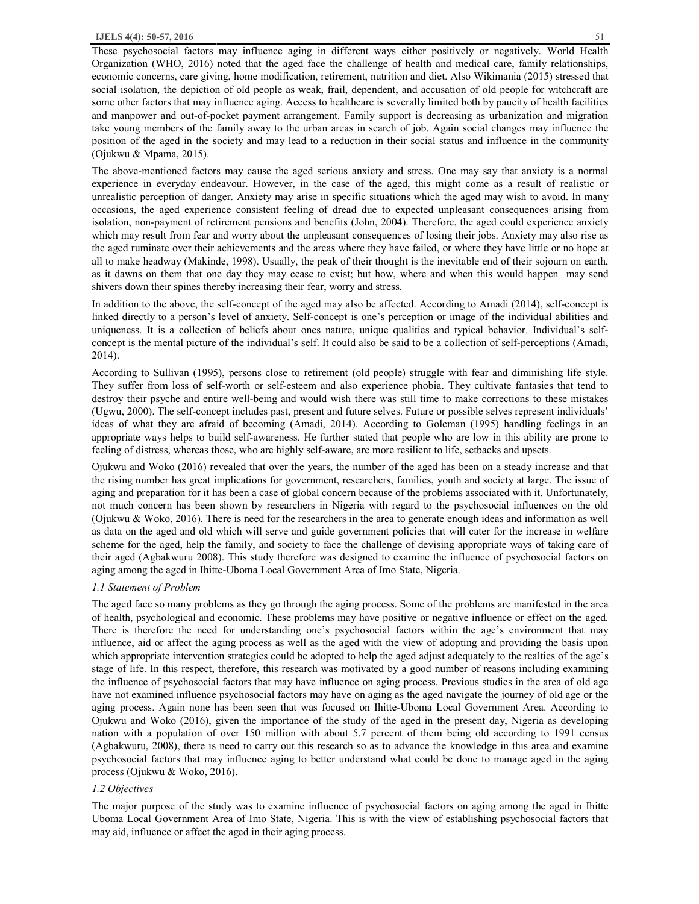These psychosocial factors may influence aging in different ways either positively or negatively. World Health Organization (WHO, 2016) noted that the aged face the challenge of health and medical care, family relationships, economic concerns, care giving, home modification, retirement, nutrition and diet. Also Wikimania (2015) stressed that social isolation, the depiction of old people as weak, frail, dependent, and accusation of old people for witchcraft are some other factors that may influence aging. Access to healthcare is severally limited both by paucity of health facilities and manpower and out-of-pocket payment arrangement. Family support is decreasing as urbanization and migration take young members of the family away to the urban areas in search of job. Again social changes may influence the position of the aged in the society and may lead to a reduction in their social status and influence in the community (Ojukwu & Mpama, 2015).

The above-mentioned factors may cause the aged serious anxiety and stress. One may say that anxiety is a normal experience in everyday endeavour. However, in the case of the aged, this might come as a result of realistic or unrealistic perception of danger. Anxiety may arise in specific situations which the aged may wish to avoid. In many occasions, the aged experience consistent feeling of dread due to expected unpleasant consequences arising from isolation, non-payment of retirement pensions and benefits (John, 2004). Therefore, the aged could experience anxiety which may result from fear and worry about the unpleasant consequences of losing their jobs. Anxiety may also rise as the aged ruminate over their achievements and the areas where they have failed, or where they have little or no hope at all to make headway (Makinde, 1998). Usually, the peak of their thought is the inevitable end of their sojourn on earth, as it dawns on them that one day they may cease to exist; but how, where and when this would happen may send shivers down their spines thereby increasing their fear, worry and stress.

In addition to the above, the self-concept of the aged may also be affected. According to Amadi (2014), self-concept is linked directly to a person's level of anxiety. Self-concept is one's perception or image of the individual abilities and uniqueness. It is a collection of beliefs about ones nature, unique qualities and typical behavior. Individual's selfconcept is the mental picture of the individual's self. It could also be said to be a collection of self-perceptions (Amadi, 2014).

According to Sullivan (1995), persons close to retirement (old people) struggle with fear and diminishing life style. They suffer from loss of self-worth or self-esteem and also experience phobia. They cultivate fantasies that tend to destroy their psyche and entire well-being and would wish there was still time to make corrections to these mistakes (Ugwu, 2000). The self-concept includes past, present and future selves. Future or possible selves represent individuals' ideas of what they are afraid of becoming (Amadi, 2014). According to Goleman (1995) handling feelings in an appropriate ways helps to build self-awareness. He further stated that people who are low in this ability are prone to feeling of distress, whereas those, who are highly self-aware, are more resilient to life, setbacks and upsets.

Ojukwu and Woko (2016) revealed that over the years, the number of the aged has been on a steady increase and that the rising number has great implications for government, researchers, families, youth and society at large. The issue of aging and preparation for it has been a case of global concern because of the problems associated with it. Unfortunately, not much concern has been shown by researchers in Nigeria with regard to the psychosocial influences on the old (Ojukwu & Woko, 2016). There is need for the researchers in the area to generate enough ideas and information as well as data on the aged and old which will serve and guide government policies that will cater for the increase in welfare scheme for the aged, help the family, and society to face the challenge of devising appropriate ways of taking care of their aged (Agbakwuru 2008). This study therefore was designed to examine the influence of psychosocial factors on aging among the aged in Ihitte-Uboma Local Government Area of Imo State, Nigeria.

#### *1.1 Statement of Problem*

The aged face so many problems as they go through the aging process. Some of the problems are manifested in the area of health, psychological and economic. These problems may have positive or negative influence or effect on the aged. There is therefore the need for understanding one's psychosocial factors within the age's environment that may influence, aid or affect the aging process as well as the aged with the view of adopting and providing the basis upon which appropriate intervention strategies could be adopted to help the aged adjust adequately to the realties of the age's stage of life. In this respect, therefore, this research was motivated by a good number of reasons including examining the influence of psychosocial factors that may have influence on aging process. Previous studies in the area of old age have not examined influence psychosocial factors may have on aging as the aged navigate the journey of old age or the aging process. Again none has been seen that was focused on Ihitte-Uboma Local Government Area. According to Ojukwu and Woko (2016), given the importance of the study of the aged in the present day, Nigeria as developing nation with a population of over 150 million with about 5.7 percent of them being old according to 1991 census (Agbakwuru, 2008), there is need to carry out this research so as to advance the knowledge in this area and examine psychosocial factors that may influence aging to better understand what could be done to manage aged in the aging process (Ojukwu & Woko, 2016).

### *1.2 Objectives*

The major purpose of the study was to examine influence of psychosocial factors on aging among the aged in Ihitte Uboma Local Government Area of Imo State, Nigeria. This is with the view of establishing psychosocial factors that may aid, influence or affect the aged in their aging process.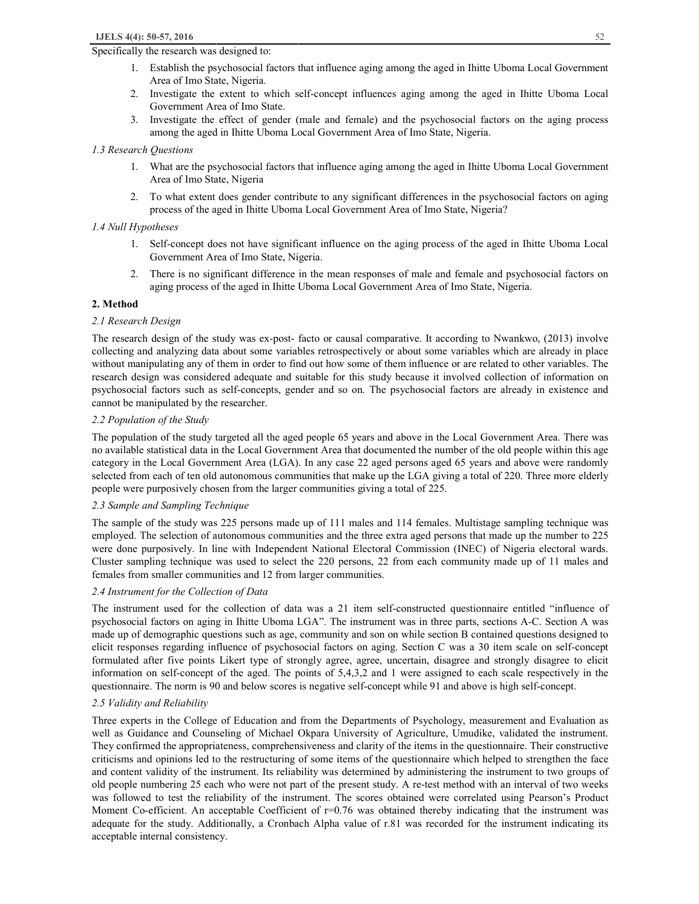#### Specifically the research was designed to:

- 2. Investigate the extent to which self-concept influences aging among the aged in Ihitte Uboma Local Government Area of Imo State.
- 3. Investigate the effect of gender (male and female) and the psychosocial factors on the aging process among the aged in Ihitte Uboma Local Government Area of Imo State, Nigeria.

## *1.3 Research Questions*

- 1. What are the psychosocial factors that influence aging among the aged in Ihitte Uboma Local Government Area of Imo State, Nigeria
- 2. To what extent does gender contribute to any significant differences in the psychosocial factors on aging process of the aged in Ihitte Uboma Local Government Area of Imo State, Nigeria?

# *1.4 Null Hypotheses*

- 1. Self-concept does not have significant influence on the aging process of the aged in Ihitte Uboma Local Government Area of Imo State, Nigeria.
- 2. There is no significant difference in the mean responses of male and female and psychosocial factors on aging process of the aged in Ihitte Uboma Local Government Area of Imo State, Nigeria.

## **2. Method**

## *2.1 Research Design*

The research design of the study was ex-post- facto or causal comparative. It according to Nwankwo, (2013) involve collecting and analyzing data about some variables retrospectively or about some variables which are already in place without manipulating any of them in order to find out how some of them influence or are related to other variables. The research design was considered adequate and suitable for this study because it involved collection of information on psychosocial factors such as self-concepts, gender and so on. The psychosocial factors are already in existence and cannot be manipulated by the researcher.

## *2.2 Population of the Study*

The population of the study targeted all the aged people 65 years and above in the Local Government Area. There was no available statistical data in the Local Government Area that documented the number of the old people within this age category in the Local Government Area (LGA). In any case 22 aged persons aged 65 years and above were randomly selected from each of ten old autonomous communities that make up the LGA giving a total of 220. Three more elderly people were purposively chosen from the larger communities giving a total of 225.

#### *2.3 Sample and Sampling Technique*

The sample of the study was 225 persons made up of 111 males and 114 females. Multistage sampling technique was employed. The selection of autonomous communities and the three extra aged persons that made up the number to 225 were done purposively. In line with Independent National Electoral Commission (INEC) of Nigeria electoral wards. Cluster sampling technique was used to select the 220 persons, 22 from each community made up of 11 males and females from smaller communities and 12 from larger communities.

### *2.4 Instrument for the Collection of Data*

The instrument used for the collection of data was a 21 item self-constructed questionnaire entitled "influence of psychosocial factors on aging in Ihitte Uboma LGA". The instrument was in three parts, sections A-C. Section A was made up of demographic questions such as age, community and son on while section B contained questions designed to elicit responses regarding influence of psychosocial factors on aging. Section C was a 30 item scale on self-concept formulated after five points Likert type of strongly agree, agree, uncertain, disagree and strongly disagree to elicit information on self-concept of the aged. The points of 5,4,3,2 and 1 were assigned to each scale respectively in the questionnaire. The norm is 90 and below scores is negative self-concept while 91 and above is high self-concept.

# *2.5 Validity and Reliability*

Three experts in the College of Education and from the Departments of Psychology, measurement and Evaluation as well as Guidance and Counseling of Michael Okpara University of Agriculture, Umudike, validated the instrument. They confirmed the appropriateness, comprehensiveness and clarity of the items in the questionnaire. Their constructive criticisms and opinions led to the restructuring of some items of the questionnaire which helped to strengthen the face and content validity of the instrument. Its reliability was determined by administering the instrument to two groups of old people numbering 25 each who were not part of the present study. A re-test method with an interval of two weeks was followed to test the reliability of the instrument. The scores obtained were correlated using Pearson's Product Moment Co-efficient. An acceptable Coefficient of r=0.76 was obtained thereby indicating that the instrument was adequate for the study. Additionally, a Cronbach Alpha value of r.81 was recorded for the instrument indicating its acceptable internal consistency.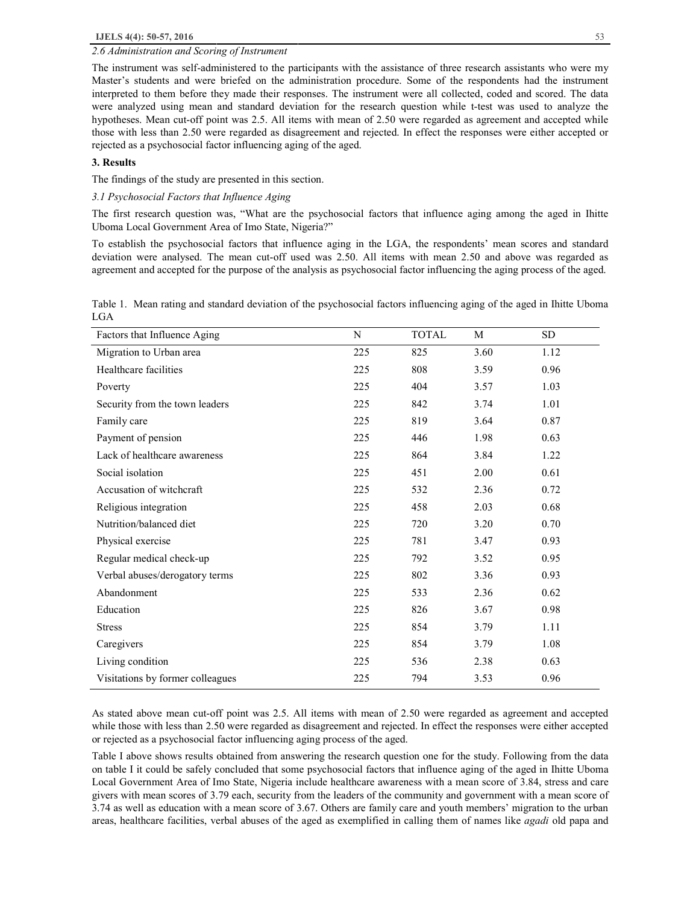#### *2.6 Administration and Scoring of Instrument*

The instrument was self-administered to the participants with the assistance of three research assistants who were my Master's students and were briefed on the administration procedure. Some of the respondents had the instrument interpreted to them before they made their responses. The instrument were all collected, coded and scored. The data were analyzed using mean and standard deviation for the research question while t-test was used to analyze the hypotheses. Mean cut-off point was 2.5. All items with mean of 2.50 were regarded as agreement and accepted while those with less than 2.50 were regarded as disagreement and rejected. In effect the responses were either accepted or rejected as a psychosocial factor influencing aging of the aged.

# **3. Results**

The findings of the study are presented in this section.

#### *3.1 Psychosocial Factors that Influence Aging*

The first research question was, "What are the psychosocial factors that influence aging among the aged in Ihitte Uboma Local Government Area of Imo State, Nigeria?"

To establish the psychosocial factors that influence aging in the LGA, the respondents' mean scores and standard deviation were analysed. The mean cut-off used was 2.50. All items with mean 2.50 and above was regarded as agreement and accepted for the purpose of the analysis as psychosocial factor influencing the aging process of the aged.

Table 1. Mean rating and standard deviation of the psychosocial factors influencing aging of the aged in Ihitte Uboma LGA

| Factors that Influence Aging     | N   | <b>TOTAL</b> | M    | <b>SD</b> |
|----------------------------------|-----|--------------|------|-----------|
| Migration to Urban area          | 225 | 825          | 3.60 | 1.12      |
| Healthcare facilities            | 225 | 808          | 3.59 | 0.96      |
| Poverty                          | 225 | 404          | 3.57 | 1.03      |
| Security from the town leaders   | 225 | 842          | 3.74 | 1.01      |
| Family care                      | 225 | 819          | 3.64 | 0.87      |
| Payment of pension               | 225 | 446          | 1.98 | 0.63      |
| Lack of healthcare awareness     | 225 | 864          | 3.84 | 1.22      |
| Social isolation                 | 225 | 451          | 2.00 | 0.61      |
| Accusation of witchcraft         | 225 | 532          | 2.36 | 0.72      |
| Religious integration            | 225 | 458          | 2.03 | 0.68      |
| Nutrition/balanced diet          | 225 | 720          | 3.20 | 0.70      |
| Physical exercise                | 225 | 781          | 3.47 | 0.93      |
| Regular medical check-up         | 225 | 792          | 3.52 | 0.95      |
| Verbal abuses/derogatory terms   | 225 | 802          | 3.36 | 0.93      |
| Abandonment                      | 225 | 533          | 2.36 | 0.62      |
| Education                        | 225 | 826          | 3.67 | 0.98      |
| <b>Stress</b>                    | 225 | 854          | 3.79 | 1.11      |
| Caregivers                       | 225 | 854          | 3.79 | 1.08      |
| Living condition                 | 225 | 536          | 2.38 | 0.63      |
| Visitations by former colleagues | 225 | 794          | 3.53 | 0.96      |

As stated above mean cut-off point was 2.5. All items with mean of 2.50 were regarded as agreement and accepted while those with less than 2.50 were regarded as disagreement and rejected. In effect the responses were either accepted or rejected as a psychosocial factor influencing aging process of the aged.

Table I above shows results obtained from answering the research question one for the study. Following from the data on table I it could be safely concluded that some psychosocial factors that influence aging of the aged in Ihitte Uboma Local Government Area of Imo State, Nigeria include healthcare awareness with a mean score of 3.84, stress and care givers with mean scores of 3.79 each, security from the leaders of the community and government with a mean score of 3.74 as well as education with a mean score of 3.67. Others are family care and youth members' migration to the urban areas, healthcare facilities, verbal abuses of the aged as exemplified in calling them of names like *agadi* old papa and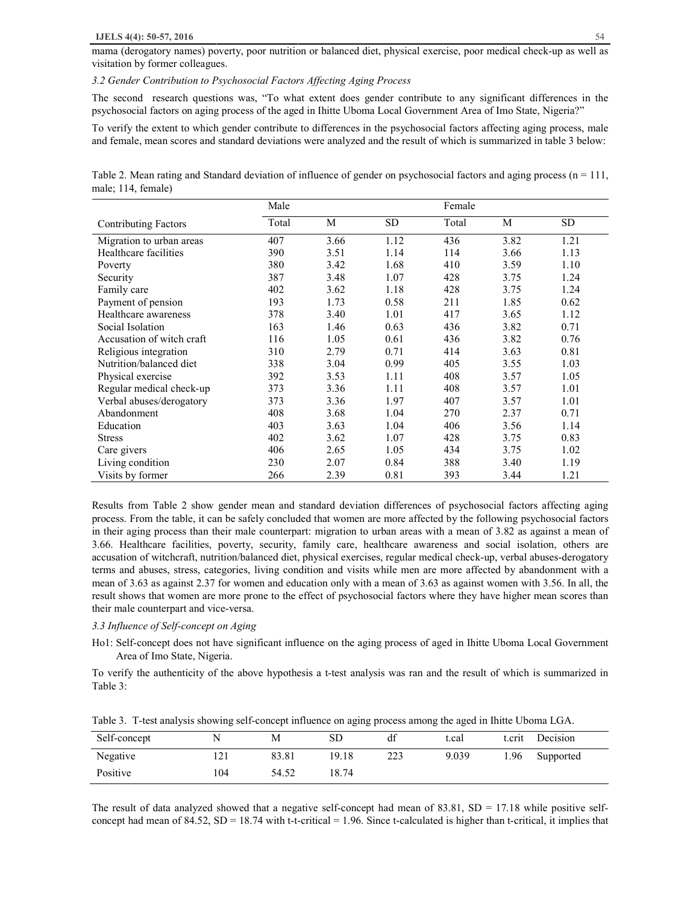#### **IJELS 4(4): 50-57, 2016** 54

mama (derogatory names) poverty, poor nutrition or balanced diet, physical exercise, poor medical check-up as well as visitation by former colleagues.

## *3.2 Gender Contribution to Psychosocial Factors Affecting Aging Process*

The second research questions was, "To what extent does gender contribute to any significant differences in the psychosocial factors on aging process of the aged in Ihitte Uboma Local Government Area of Imo State, Nigeria?"

To verify the extent to which gender contribute to differences in the psychosocial factors affecting aging process, male and female, mean scores and standard deviations were analyzed and the result of which is summarized in table 3 below:

Table 2. Mean rating and Standard deviation of influence of gender on psychosocial factors and aging process  $(n = 111,$ male; 114, female)

|                             | Male  |      |      | Female |      |      |
|-----------------------------|-------|------|------|--------|------|------|
| <b>Contributing Factors</b> | Total | М    | SD   | Total  | М    | SD   |
| Migration to urban areas    | 407   | 3.66 | 1.12 | 436    | 3.82 | 1.21 |
| Healthcare facilities       | 390   | 3.51 | 1.14 | 114    | 3.66 | 1.13 |
| Poverty                     | 380   | 3.42 | 1.68 | 410    | 3.59 | 1.10 |
| Security                    | 387   | 3.48 | 1.07 | 428    | 3.75 | 1.24 |
| Family care                 | 402   | 3.62 | 1.18 | 428    | 3.75 | 1.24 |
| Payment of pension          | 193   | 1.73 | 0.58 | 211    | 1.85 | 0.62 |
| Healthcare awareness        | 378   | 3.40 | 1.01 | 417    | 3.65 | 1.12 |
| Social Isolation            | 163   | 1.46 | 0.63 | 436    | 3.82 | 0.71 |
| Accusation of witch craft   | 116   | 1.05 | 0.61 | 436    | 3.82 | 0.76 |
| Religious integration       | 310   | 2.79 | 0.71 | 414    | 3.63 | 0.81 |
| Nutrition/balanced diet     | 338   | 3.04 | 0.99 | 405    | 3.55 | 1.03 |
| Physical exercise           | 392   | 3.53 | 1.11 | 408    | 3.57 | 1.05 |
| Regular medical check-up    | 373   | 3.36 | 1.11 | 408    | 3.57 | 1.01 |
| Verbal abuses/derogatory    | 373   | 3.36 | 1.97 | 407    | 3.57 | 1.01 |
| Abandonment                 | 408   | 3.68 | 1.04 | 270    | 2.37 | 0.71 |
| Education                   | 403   | 3.63 | 1.04 | 406    | 3.56 | 1.14 |
| <b>Stress</b>               | 402   | 3.62 | 1.07 | 428    | 3.75 | 0.83 |
| Care givers                 | 406   | 2.65 | 1.05 | 434    | 3.75 | 1.02 |
| Living condition            | 230   | 2.07 | 0.84 | 388    | 3.40 | 1.19 |
| Visits by former            | 266   | 2.39 | 0.81 | 393    | 3.44 | 1.21 |

Results from Table 2 show gender mean and standard deviation differences of psychosocial factors affecting aging process. From the table, it can be safely concluded that women are more affected by the following psychosocial factors in their aging process than their male counterpart: migration to urban areas with a mean of 3.82 as against a mean of 3.66. Healthcare facilities, poverty, security, family care, healthcare awareness and social isolation, others are accusation of witchcraft, nutrition/balanced diet, physical exercises, regular medical check-up, verbal abuses-derogatory terms and abuses, stress, categories, living condition and visits while men are more affected by abandonment with a mean of 3.63 as against 2.37 for women and education only with a mean of 3.63 as against women with 3.56. In all, the result shows that women are more prone to the effect of psychosocial factors where they have higher mean scores than their male counterpart and vice-versa.

#### *3.3 Influence of Self-concept on Aging*

Ho1: Self-concept does not have significant influence on the aging process of aged in Ihitte Uboma Local Government Area of Imo State, Nigeria.

To verify the authenticity of the above hypothesis a t-test analysis was ran and the result of which is summarized in Table 3:

Table 3. T-test analysis showing self-concept influence on aging process among the aged in Ihitte Uboma LGA.

| Self-concept | ╲                  | М     | SD    | dt  | t.cal | t.crıt | Decision  |
|--------------|--------------------|-------|-------|-----|-------|--------|-----------|
| Negative     | <b>ורו</b><br>!∠ ! | 83.81 | 19.18 | 223 | 9.039 | 1.96   | Supported |
| Positive     | 104                | 54.52 | 18.74 |     |       |        |           |

The result of data analyzed showed that a negative self-concept had mean of  $83.81$ ,  $SD = 17.18$  while positive selfconcept had mean of 84.52,  $SD = 18.74$  with t-t-critical = 1.96. Since t-calculated is higher than t-critical, it implies that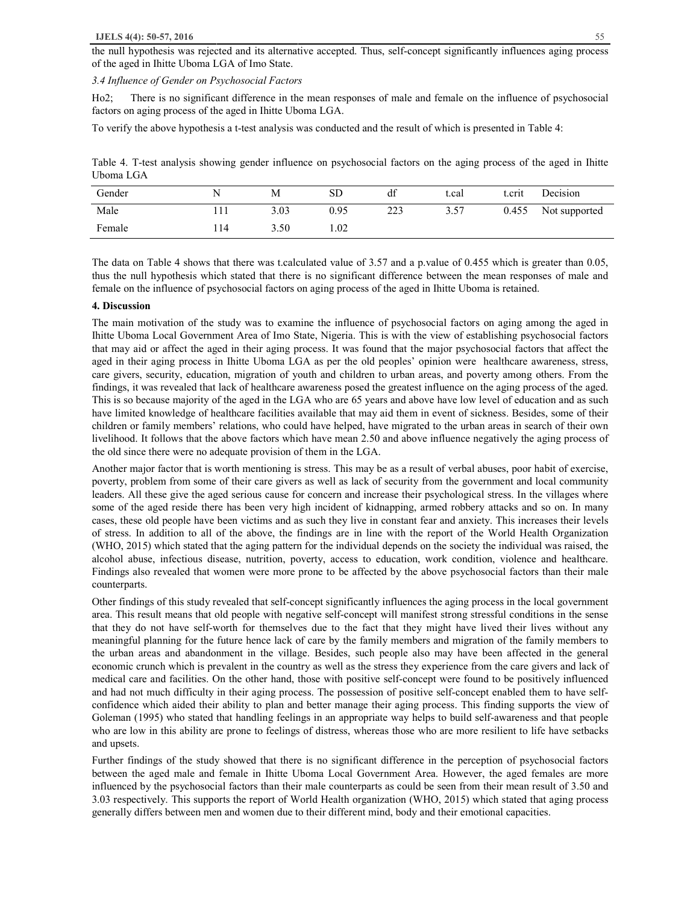the null hypothesis was rejected and its alternative accepted. Thus, self-concept significantly influences aging process of the aged in Ihitte Uboma LGA of Imo State.

*3.4 Influence of Gender on Psychosocial Factors* 

Ho2; There is no significant difference in the mean responses of male and female on the influence of psychosocial factors on aging process of the aged in Ihitte Uboma LGA.

To verify the above hypothesis a t-test analysis was conducted and the result of which is presented in Table 4:

Table 4. T-test analysis showing gender influence on psychosocial factors on the aging process of the aged in Ihitte Uboma LGA

| Gender | N  | М    | SD   | df  | t.cal | t.crit | Decision      |
|--------|----|------|------|-----|-------|--------|---------------|
| Male   |    | 3.03 | 0.95 | 223 | 3.57  | 0.455  | Not supported |
| Female | 14 | 3.50 | 1.02 |     |       |        |               |

The data on Table 4 shows that there was t.calculated value of 3.57 and a p.value of 0.455 which is greater than 0.05, thus the null hypothesis which stated that there is no significant difference between the mean responses of male and female on the influence of psychosocial factors on aging process of the aged in Ihitte Uboma is retained.

#### **4. Discussion**

The main motivation of the study was to examine the influence of psychosocial factors on aging among the aged in Ihitte Uboma Local Government Area of Imo State, Nigeria. This is with the view of establishing psychosocial factors that may aid or affect the aged in their aging process. It was found that the major psychosocial factors that affect the aged in their aging process in Ihitte Uboma LGA as per the old peoples' opinion were healthcare awareness, stress, care givers, security, education, migration of youth and children to urban areas, and poverty among others. From the findings, it was revealed that lack of healthcare awareness posed the greatest influence on the aging process of the aged. This is so because majority of the aged in the LGA who are 65 years and above have low level of education and as such have limited knowledge of healthcare facilities available that may aid them in event of sickness. Besides, some of their children or family members' relations, who could have helped, have migrated to the urban areas in search of their own livelihood. It follows that the above factors which have mean 2.50 and above influence negatively the aging process of the old since there were no adequate provision of them in the LGA.

Another major factor that is worth mentioning is stress. This may be as a result of verbal abuses, poor habit of exercise, poverty, problem from some of their care givers as well as lack of security from the government and local community leaders. All these give the aged serious cause for concern and increase their psychological stress. In the villages where some of the aged reside there has been very high incident of kidnapping, armed robbery attacks and so on. In many cases, these old people have been victims and as such they live in constant fear and anxiety. This increases their levels of stress. In addition to all of the above, the findings are in line with the report of the World Health Organization (WHO, 2015) which stated that the aging pattern for the individual depends on the society the individual was raised, the alcohol abuse, infectious disease, nutrition, poverty, access to education, work condition, violence and healthcare. Findings also revealed that women were more prone to be affected by the above psychosocial factors than their male counterparts.

Other findings of this study revealed that self-concept significantly influences the aging process in the local government area. This result means that old people with negative self-concept will manifest strong stressful conditions in the sense that they do not have self-worth for themselves due to the fact that they might have lived their lives without any meaningful planning for the future hence lack of care by the family members and migration of the family members to the urban areas and abandonment in the village. Besides, such people also may have been affected in the general economic crunch which is prevalent in the country as well as the stress they experience from the care givers and lack of medical care and facilities. On the other hand, those with positive self-concept were found to be positively influenced and had not much difficulty in their aging process. The possession of positive self-concept enabled them to have selfconfidence which aided their ability to plan and better manage their aging process. This finding supports the view of Goleman (1995) who stated that handling feelings in an appropriate way helps to build self-awareness and that people who are low in this ability are prone to feelings of distress, whereas those who are more resilient to life have setbacks and upsets.

Further findings of the study showed that there is no significant difference in the perception of psychosocial factors between the aged male and female in Ihitte Uboma Local Government Area. However, the aged females are more influenced by the psychosocial factors than their male counterparts as could be seen from their mean result of 3.50 and 3.03 respectively. This supports the report of World Health organization (WHO, 2015) which stated that aging process generally differs between men and women due to their different mind, body and their emotional capacities.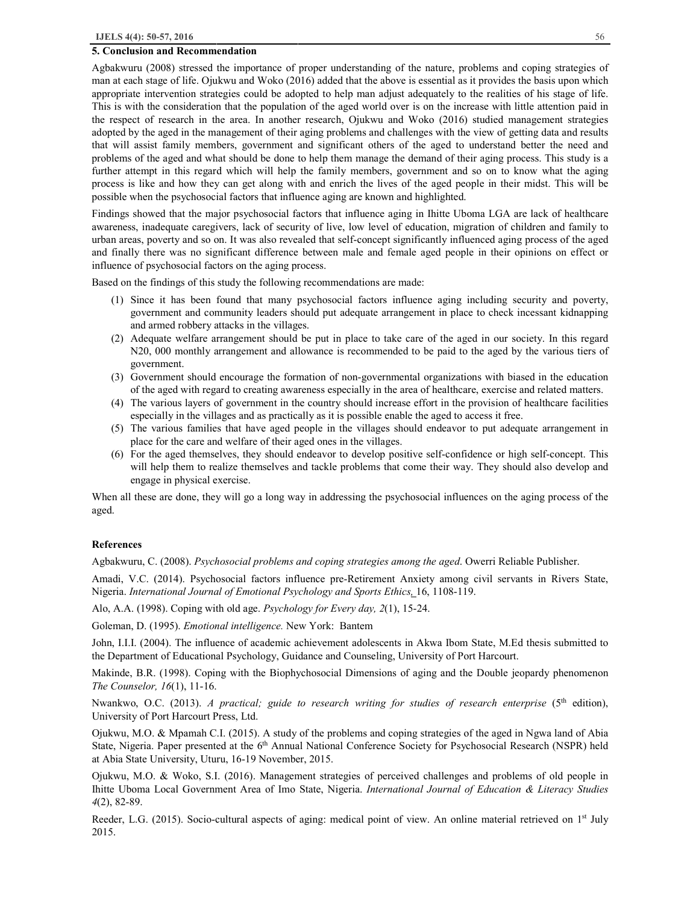#### **5. Conclusion and Recommendation**

Agbakwuru (2008) stressed the importance of proper understanding of the nature, problems and coping strategies of man at each stage of life. Ojukwu and Woko (2016) added that the above is essential as it provides the basis upon which appropriate intervention strategies could be adopted to help man adjust adequately to the realities of his stage of life. This is with the consideration that the population of the aged world over is on the increase with little attention paid in the respect of research in the area. In another research, Ojukwu and Woko (2016) studied management strategies adopted by the aged in the management of their aging problems and challenges with the view of getting data and results that will assist family members, government and significant others of the aged to understand better the need and problems of the aged and what should be done to help them manage the demand of their aging process. This study is a further attempt in this regard which will help the family members, government and so on to know what the aging process is like and how they can get along with and enrich the lives of the aged people in their midst. This will be possible when the psychosocial factors that influence aging are known and highlighted.

Findings showed that the major psychosocial factors that influence aging in Ihitte Uboma LGA are lack of healthcare awareness, inadequate caregivers, lack of security of live, low level of education, migration of children and family to urban areas, poverty and so on. It was also revealed that self-concept significantly influenced aging process of the aged and finally there was no significant difference between male and female aged people in their opinions on effect or influence of psychosocial factors on the aging process.

Based on the findings of this study the following recommendations are made:

- (1) Since it has been found that many psychosocial factors influence aging including security and poverty, government and community leaders should put adequate arrangement in place to check incessant kidnapping and armed robbery attacks in the villages.
- (2) Adequate welfare arrangement should be put in place to take care of the aged in our society. In this regard N20, 000 monthly arrangement and allowance is recommended to be paid to the aged by the various tiers of government.
- (3) Government should encourage the formation of non-governmental organizations with biased in the education of the aged with regard to creating awareness especially in the area of healthcare, exercise and related matters.
- (4) The various layers of government in the country should increase effort in the provision of healthcare facilities especially in the villages and as practically as it is possible enable the aged to access it free.
- (5) The various families that have aged people in the villages should endeavor to put adequate arrangement in place for the care and welfare of their aged ones in the villages.
- (6) For the aged themselves, they should endeavor to develop positive self-confidence or high self-concept. This will help them to realize themselves and tackle problems that come their way. They should also develop and engage in physical exercise.

When all these are done, they will go a long way in addressing the psychosocial influences on the aging process of the aged.

#### **References**

Agbakwuru, C. (2008). *Psychosocial problems and coping strategies among the aged*. Owerri Reliable Publisher.

Amadi, V.C. (2014). Psychosocial factors influence pre-Retirement Anxiety among civil servants in Rivers State, Nigeria. *International Journal of Emotional Psychology and Sports Ethics,* 16, 1108-119.

Alo, A.A. (1998). Coping with old age. *Psychology for Every day, 2*(1), 15-24.

Goleman, D. (1995). *Emotional intelligence.* New York: Bantem

John, I.I.I. (2004). The influence of academic achievement adolescents in Akwa Ibom State, M.Ed thesis submitted to the Department of Educational Psychology, Guidance and Counseling, University of Port Harcourt.

Makinde, B.R. (1998). Coping with the Biophychosocial Dimensions of aging and the Double jeopardy phenomenon *The Counselor, 16*(1), 11-16.

Nwankwo, O.C. (2013). *A practical; guide to research writing for studies of research enterprise* (5th edition), University of Port Harcourt Press, Ltd.

Ojukwu, M.O. & Mpamah C.I. (2015). A study of the problems and coping strategies of the aged in Ngwa land of Abia State, Nigeria. Paper presented at the 6<sup>th</sup> Annual National Conference Society for Psychosocial Research (NSPR) held at Abia State University, Uturu, 16-19 November, 2015.

Ojukwu, M.O. & Woko, S.I. (2016). Management strategies of perceived challenges and problems of old people in Ihitte Uboma Local Government Area of Imo State, Nigeria. *International Journal of Education & Literacy Studies 4*(2), 82-89.

Reeder, L.G. (2015). Socio-cultural aspects of aging: medical point of view. An online material retrieved on 1<sup>st</sup> July 2015.